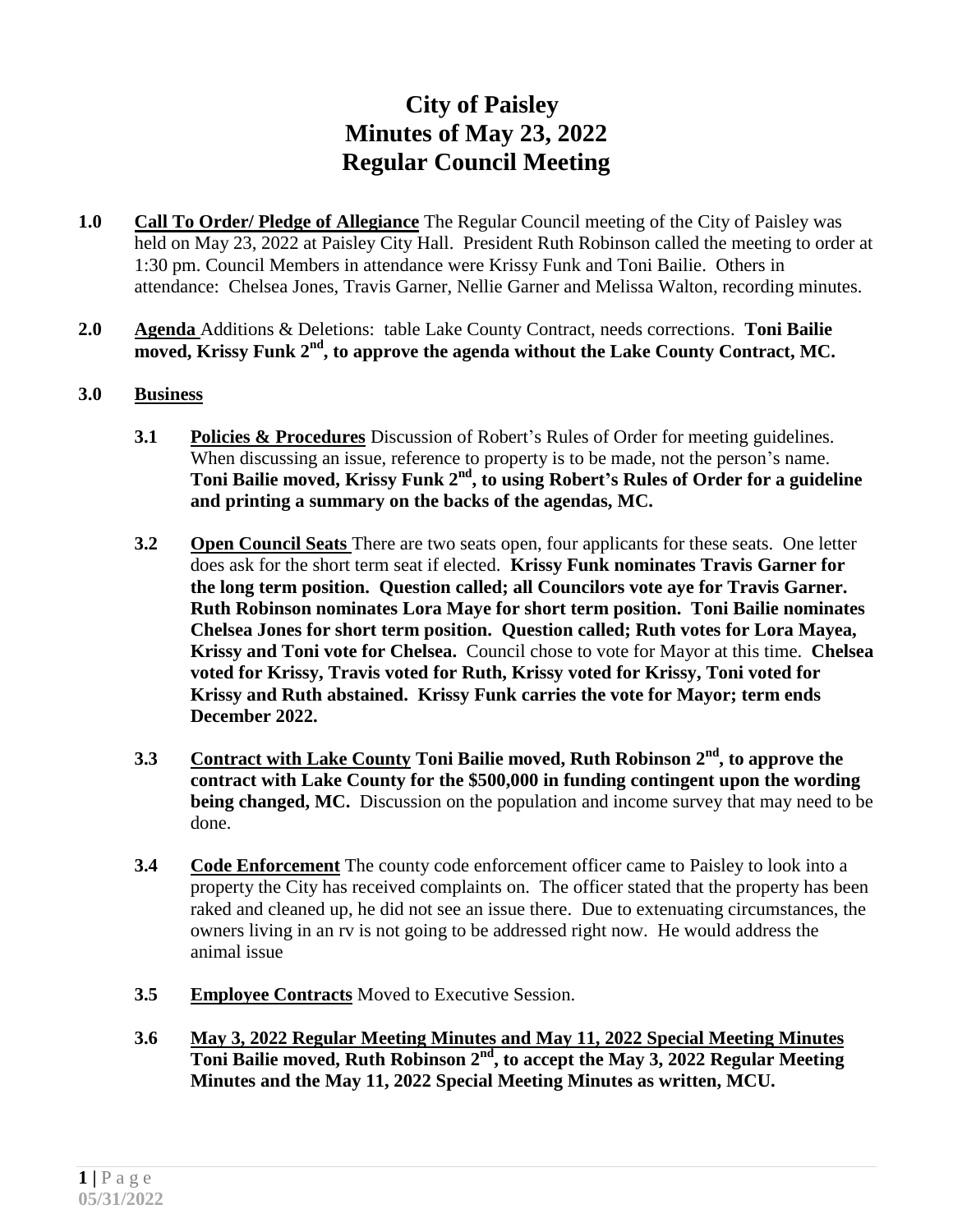## **City of Paisley Minutes of May 23, 2022 Regular Council Meeting**

- **1.0 Call To Order/ Pledge of Allegiance** The Regular Council meeting of the City of Paisley was held on May 23, 2022 at Paisley City Hall. President Ruth Robinson called the meeting to order at 1:30 pm. Council Members in attendance were Krissy Funk and Toni Bailie. Others in attendance: Chelsea Jones, Travis Garner, Nellie Garner and Melissa Walton, recording minutes.
- **2.0 Agenda** Additions & Deletions: table Lake County Contract, needs corrections. **Toni Bailie moved, Krissy Funk 2nd , to approve the agenda without the Lake County Contract, MC.**
- **3.0 Business**
	- **3.1 Policies & Procedures** Discussion of Robert's Rules of Order for meeting guidelines. When discussing an issue, reference to property is to be made, not the person's name. **Toni Bailie moved, Krissy Funk 2nd , to using Robert's Rules of Order for a guideline and printing a summary on the backs of the agendas, MC.**
	- **3.2 Open Council Seats** There are two seats open, four applicants for these seats. One letter does ask for the short term seat if elected. **Krissy Funk nominates Travis Garner for the long term position. Question called; all Councilors vote aye for Travis Garner. Ruth Robinson nominates Lora Maye for short term position. Toni Bailie nominates Chelsea Jones for short term position. Question called; Ruth votes for Lora Mayea, Krissy and Toni vote for Chelsea.** Council chose to vote for Mayor at this time. **Chelsea voted for Krissy, Travis voted for Ruth, Krissy voted for Krissy, Toni voted for Krissy and Ruth abstained. Krissy Funk carries the vote for Mayor; term ends December 2022.**
	- **3.3 Contract with Lake County Toni Bailie moved, Ruth Robinson 2nd , to approve the contract with Lake County for the \$500,000 in funding contingent upon the wording being changed, MC.** Discussion on the population and income survey that may need to be done.
	- **3.4 Code Enforcement** The county code enforcement officer came to Paisley to look into a property the City has received complaints on. The officer stated that the property has been raked and cleaned up, he did not see an issue there. Due to extenuating circumstances, the owners living in an rv is not going to be addressed right now. He would address the animal issue
	- **3.5 Employee Contracts** Moved to Executive Session.
	- **3.6 May 3, 2022 Regular Meeting Minutes and May 11, 2022 Special Meeting Minutes Toni Bailie moved, Ruth Robinson 2nd , to accept the May 3, 2022 Regular Meeting Minutes and the May 11, 2022 Special Meeting Minutes as written, MCU.**